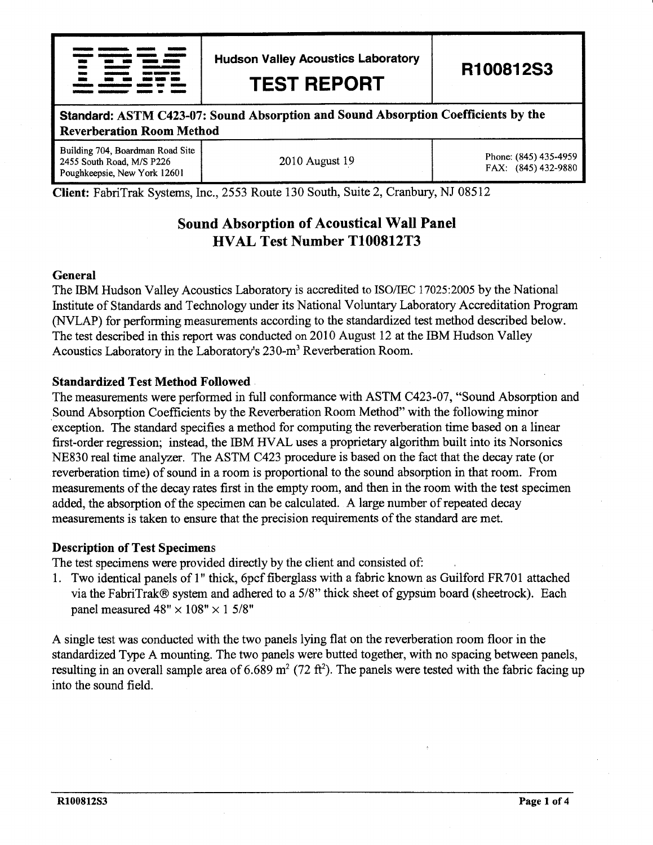| <u>some assumer, anno assoc</u>                       |                                             |                      |  |
|-------------------------------------------------------|---------------------------------------------|----------------------|--|
| www.androider.com/www.androider.com/www.androider.com |                                             |                      |  |
| . .                                                   |                                             | and the most distant |  |
|                                                       | and community which and the state of        |                      |  |
|                                                       | and the company's state and the state       |                      |  |
|                                                       |                                             |                      |  |
|                                                       |                                             |                      |  |
|                                                       | <b>Middleton adventures are as advertis</b> |                      |  |

Hudson Valley Acoustics Laboratory

# TEST REPORT

R1 0081 2S3

#### Standard: ASTM C423-07: Sound Absorption and Sound Absorption Coefficients by the -t Reverberation Room Method

Building 704, Boardman Road Site 2455 South Road, M/S P226 Poughkeepsie, New York 12601

2010 August 19 Phone: (845) 435-4959 FAx: (845) 432-9880

Client: FabriTrak Systems, Lnc.,2553 Route 130 South, Suite 2, Cranbury, NJ 08512

## Sound Absorption of Acoustical WalI Panel HVAL Test Number T100812T3

#### **General**

The IBM Hudson Valley Acoustics Laboratory is accredited to ISO/EC 17025:2005 by the National Institute of Standards and Technology under its National Voluntary Laboratory Accreditation Program (NVLAP) for performing measurements according to the standardized test method described below. The test described in this report was conducted on 2010 August 12 at the IBM Hudson Valley Acoustics Laboratory in the Laboratory's 230-m<sup>3</sup> Reverberation Room.

#### Standardized Test Method Followed

The measurements were performed in full conformance with ASTM C423-07,"Sound Absorption and Sound Absorption Coefficients by the Reverberation Room Method" with the following minor exception. The standard specifies a method for computing the reverberation time based on a linear first-order regression; instead, the IBM HVAL uses a proprietary algorithm built into its Norsonics NE830 real time analyzer. The ASTM C423 procedure is based on the fact that the decay rate (or reverberation time) of sound in a room is proportional to the sound absorption in that room. From measurements of the decay rates first in the empty room, and then in the room with the test specimen added, the absorption of the specimen can be calculated. A large number of repeated decay measurements is taken to ensure that the precision requirements of the standard are met.

#### Description of Test Specimens

The test specimens were provided directly by the client and consisted of:

1. Two identical panels of 1" thick, 6pcf fiberglass with a fabric known as Guilford FR70l attached via the FabriTrak@ system and adhered to a 5/8" thick sheet of gypsum board (sheetrock). Each panel measured  $48" \times 108" \times 15/8"$ 

A single test was conducted with the two panels lying flat on the reverberation room floor in the standardized Type A mounting. The two panels were butted together, with no spacing between panels, resulting in an overall sample area of 6.689 m<sup>2</sup> (72 ft<sup>2</sup>). The panels were tested with the fabric facing up into the sound field.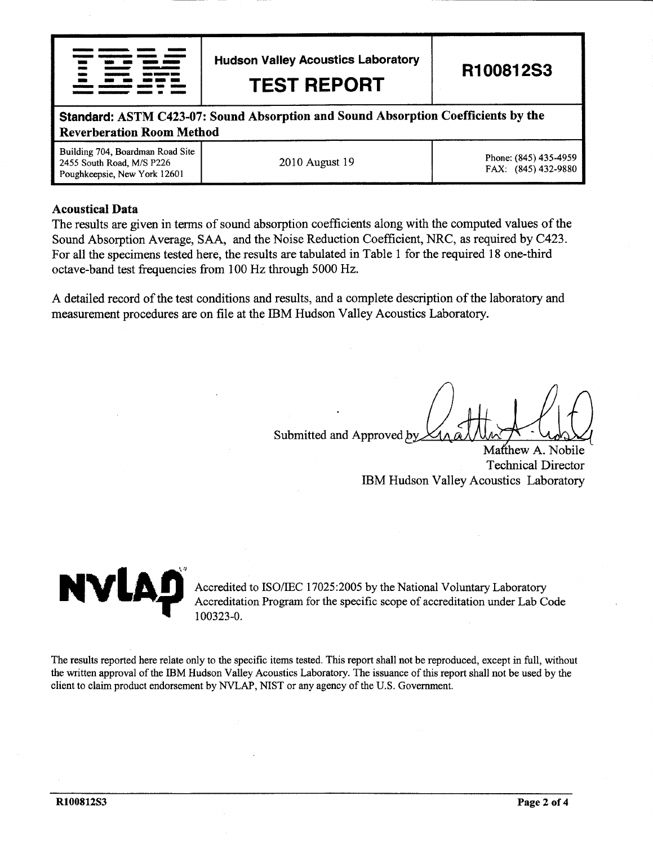|                          | and the complete contract of the complete state of the complete state of the complete state of the complete state of the complete state of the complete state of the complete state of the complete state of the complete stat |  |
|--------------------------|--------------------------------------------------------------------------------------------------------------------------------------------------------------------------------------------------------------------------------|--|
|                          | والمتقاضيات والمستكل والمتمر المتحددات                                                                                                                                                                                         |  |
| -                        | <u>MAN WAS TERMINED BANKING</u>                                                                                                                                                                                                |  |
| $\overline{\phantom{a}}$ | <b>CONSUMER'S ROOM AND AND A</b>                                                                                                                                                                                               |  |
|                          | <u>TORIA - TODOSTERO - ISO SERVICE TENS</u>                                                                                                                                                                                    |  |
|                          | ---------                                                                                                                                                                                                                      |  |
|                          | and the construction and also also a                                                                                                                                                                                           |  |
|                          | <u> 1980 - Jan Harrison, mars a</u> anno                                                                                                                                                                                       |  |

Hudson Valley Acoustics Laboratory

TEST REPORT

R100812S3

-- -- - Standard: ASTM C423-07: Sound Absorption and Sound Absorption Coefficients by the Reverberation Room Method

Building 704, Boardman Road Site 2455 South Road, M/S P226 Poughkeepsie, New York 12601 2010 August 19 Phone: (845) 435-4959 FAX: (845) 432-9880

#### Acoustical Data

The results are given in terms of sound absorption coefficients along with the computed values of the Sound Absorption Average, SAA, and the Noise Reduction Coefficient, NRC, as required by C423. For all the specimens tested here, the results are tabulated in Table 1 for the required 18 one-third octave-band test frequencies from 100 Hz through 5000 Hz.

A detailed record of the test conditions and results, and a complete description of the laboratory and measurement procedures are on file at the IBM Hudson Valley Acoustics Laboratory.

Submitted and Approved by

Matthew A. Nobile Technical Director IBM Hudson Valley Acoustics Laboratory



Accredited to ISO/IEC 17025:2005 by the National Voluntary Laboratory Accreditation Program for the specific scope of accreditation under Lab Code 100323-0.

The results reported here relate only to the specific items tested. This report shall not be reproduced, except in full, without the written approval of the IBM Hudson Valley Acoustics Laboratory. The issuance of this report shall not be used by the client to claim product endorsement by NVLAP, NIST or any agency of the U.S. Government.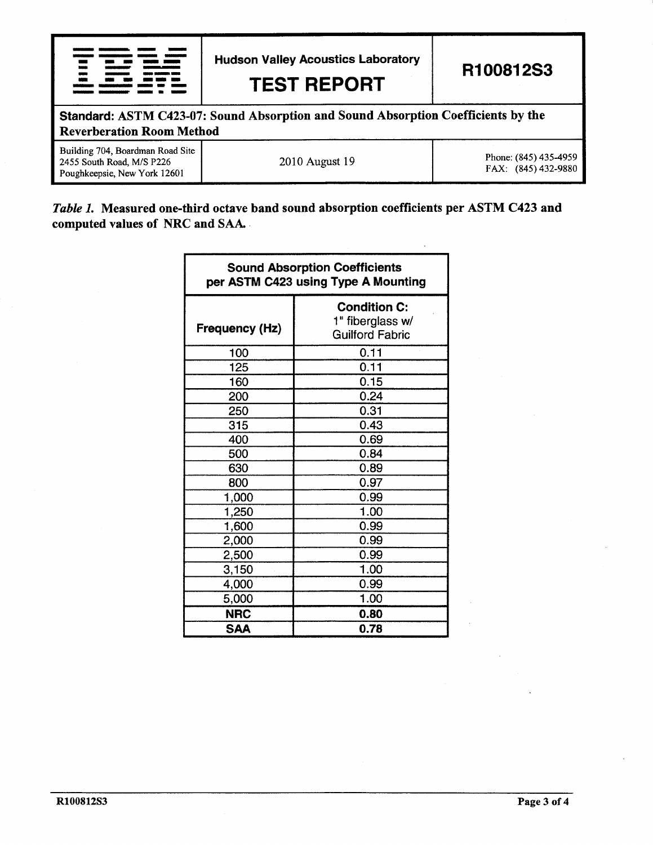|                  | anno 1990 anno 1990 - 1990 - 1990 anno 1990 anno 1990 anno 1990 ann ann ann ann an 1990 ann an 1990 ann an 19                                                                                                                  |     |
|------------------|--------------------------------------------------------------------------------------------------------------------------------------------------------------------------------------------------------------------------------|-----|
|                  | الزائريوني والتسيي المستسمعين منعمسة                                                                                                                                                                                           |     |
|                  | <u>the seas and within morning</u>                                                                                                                                                                                             |     |
|                  | Integrate consequence approximation in the contract of the contract of the contract of the contract of the contract of the contract of the contract of the contract of the contract of the contract of the contract of the con |     |
|                  | <u>and announced</u> 4000 million.                                                                                                                                                                                             | مسد |
| <b>The State</b> |                                                                                                                                                                                                                                |     |
|                  | and the component couple of the compo                                                                                                                                                                                          |     |
|                  | triument constitutions are a complete                                                                                                                                                                                          |     |

-

Hudson Valley Acoustics Laboratory

TEST REPORT

R1 0081 2S3

Standard: ASTM C423-07: Sound Absorption and Sound Absorption Coefficients by the Reverberation Room Method

Building 704, Boardman Road Site 2455 South Road, M/S P226 Poughkeepsie, New York 12601

2010 August 19 Phone: (845) 435-4959<br>
Phone: (845) 435-4959 FAX: (845) 432-9880

### Table 1. Measured one-third octave band sound absorption coefficients per ASTM C423 and computed Yalues of NRC and SAA.

| <b>Sound Absorption Coefficients</b><br>per ASTM C423 using Type A Mounting |                                                                   |  |  |
|-----------------------------------------------------------------------------|-------------------------------------------------------------------|--|--|
| <b>Frequency (Hz)</b>                                                       | <b>Condition C:</b><br>1" fiberglass w/<br><b>Guilford Fabric</b> |  |  |
| 100                                                                         | 0.11                                                              |  |  |
| 125                                                                         | 0.11                                                              |  |  |
| 160                                                                         | 0.15                                                              |  |  |
| 200                                                                         | 0.24                                                              |  |  |
| 250                                                                         | 0.31                                                              |  |  |
| 315                                                                         | 0.43                                                              |  |  |
| 400                                                                         | 0.69                                                              |  |  |
| 500                                                                         | 0.84                                                              |  |  |
| 630                                                                         | 0.89                                                              |  |  |
| 800                                                                         | 0.97                                                              |  |  |
| 1,000                                                                       | 0.99                                                              |  |  |
| 1,250                                                                       | 1.00                                                              |  |  |
| 1,600                                                                       | 0.99                                                              |  |  |
| 2,000                                                                       | 0.99                                                              |  |  |
| 2,500                                                                       | 0.99                                                              |  |  |
| 3,150                                                                       | 1.00                                                              |  |  |
| 4,000                                                                       | 0.99                                                              |  |  |
| 5,000                                                                       | 1.00                                                              |  |  |
| <b>NRC</b>                                                                  | 0.80                                                              |  |  |
| <b>SAA</b>                                                                  | 0.78                                                              |  |  |